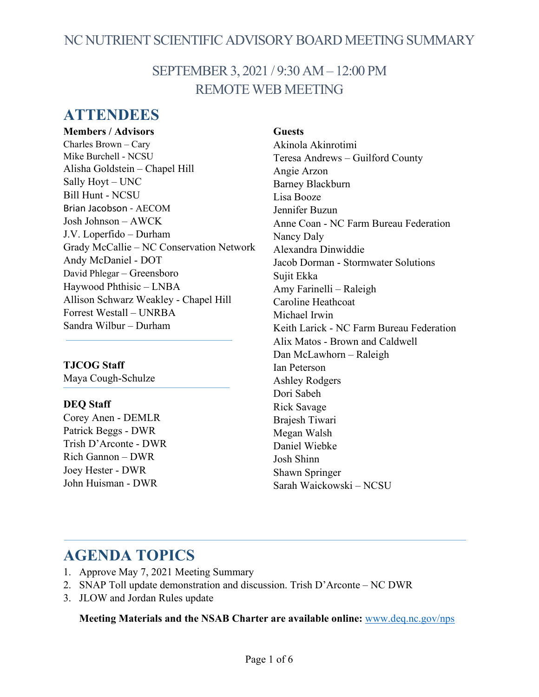# NC NUTRIENT SCIENTIFIC ADVISORY BOARD MEETING SUMMARY

# SEPTEMBER 3, 2021 / 9:30 AM – 12:00 PM REMOTE WEB MEETING

# **ATTENDEES**

**Members / Advisors** Charles Brown – Cary Mike Burchell - NCSU Alisha Goldstein – Chapel Hill Sally Hoyt – UNC Bill Hunt - NCSU Brian Jacobson - AECOM Josh Johnson – AWCK J.V. Loperfido – Durham Grady McCallie – NC Conservation Network Andy McDaniel - DOT David Phlegar – Greensboro Haywood Phthisic – LNBA Allison Schwarz Weakley - Chapel Hill Forrest Westall – UNRBA Sandra Wilbur – Durham

### **TJCOG Staff** Maya Cough-Schulze

### **DEQ Staff**

Corey Anen - DEMLR Patrick Beggs - DWR Trish D'Arconte - DWR Rich Gannon – DWR Joey Hester - DWR John Huisman - DWR

## **Guests**

Akinola Akinrotimi Teresa Andrews – Guilford County Angie Arzon Barney Blackburn Lisa Booze Jennifer Buzun Anne Coan - NC Farm Bureau Federation Nancy Daly Alexandra Dinwiddie Jacob Dorman - Stormwater Solutions Sujit Ekka Amy Farinelli – Raleigh Caroline Heathcoat Michael Irwin Keith Larick - NC Farm Bureau Federation Alix Matos - Brown and Caldwell Dan McLawhorn – Raleigh Ian Peterson Ashley Rodgers Dori Sabeh Rick Savage Brajesh Tiwari Megan Walsh Daniel Wiebke Josh Shinn Shawn Springer Sarah Waickowski – NCSU

# **AGENDA TOPICS**

- 1. Approve May 7, 2021 Meeting Summary
- 2. SNAP Toll update demonstration and discussion. Trish D'Arconte NC DWR
- 3. JLOW and Jordan Rules update

**Meeting Materials and the NSAB Charter are available online:** [www.deq.nc.gov/nps](https://deq.nc.gov/about/divisions/water-resources/planning/nonpoint-source-management/nutrient-scientific-advisory-board#nsab-meeting-documents)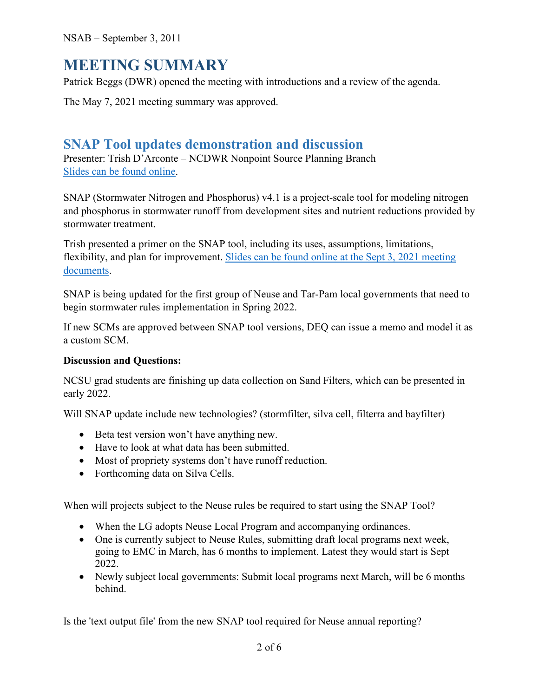NSAB – September 3, 2011

# **MEETING SUMMARY**

Patrick Beggs (DWR) opened the meeting with introductions and a review of the agenda.

The May 7, 2021 meeting summary was approved.

## **SNAP Tool updates demonstration and discussion**

Presenter: Trish D'Arconte – NCDWR Nonpoint Source Planning Branch [Slides can be found online.](https://deq.nc.gov/about/divisions/water-resources/water-planning/nonpoint-source-planning/nutrient-scientific-advisory-board#nsab-meeting-documents)

SNAP (Stormwater Nitrogen and Phosphorus) v4.1 is a project-scale tool for modeling nitrogen and phosphorus in stormwater runoff from development sites and nutrient reductions provided by stormwater treatment.

Trish presented a primer on the SNAP tool, including its uses, assumptions, limitations, flexibility, and plan for improvement. [Slides can be found online at the Sept 3, 2021 meeting](https://deq.nc.gov/about/divisions/water-resources/water-planning/nonpoint-source-planning/nutrient-scientific-advisory-board#nsab-meeting-documents)  [documents.](https://deq.nc.gov/about/divisions/water-resources/water-planning/nonpoint-source-planning/nutrient-scientific-advisory-board#nsab-meeting-documents)

SNAP is being updated for the first group of Neuse and Tar-Pam local governments that need to begin stormwater rules implementation in Spring 2022.

If new SCMs are approved between SNAP tool versions, DEQ can issue a memo and model it as a custom SCM.

## **Discussion and Questions:**

NCSU grad students are finishing up data collection on Sand Filters, which can be presented in early 2022.

Will SNAP update include new technologies? (stormfilter, silva cell, filterra and bayfilter)

- Beta test version won't have anything new.
- Have to look at what data has been submitted.
- Most of propriety systems don't have runoff reduction.
- Forthcoming data on Silva Cells.

When will projects subject to the Neuse rules be required to start using the SNAP Tool?

- When the LG adopts Neuse Local Program and accompanying ordinances.
- One is currently subject to Neuse Rules, submitting draft local programs next week, going to EMC in March, has 6 months to implement. Latest they would start is Sept 2022.
- Newly subject local governments: Submit local programs next March, will be 6 months behind.

Is the 'text output file' from the new SNAP tool required for Neuse annual reporting?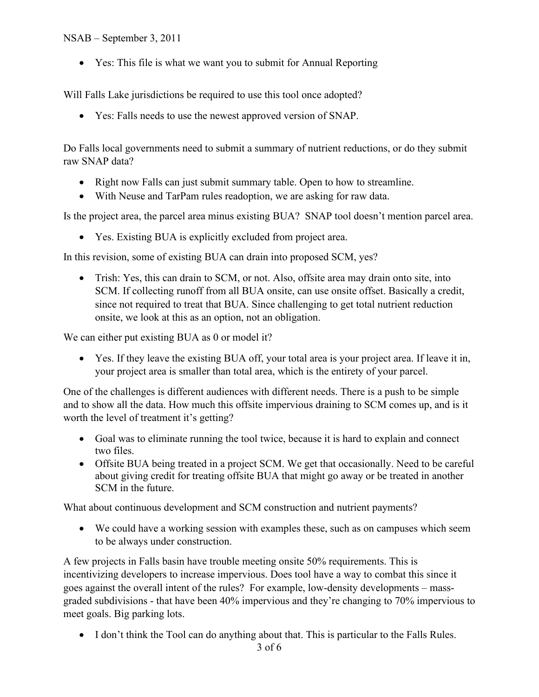### NSAB – September 3, 2011

• Yes: This file is what we want you to submit for Annual Reporting

Will Falls Lake jurisdictions be required to use this tool once adopted?

• Yes: Falls needs to use the newest approved version of SNAP.

Do Falls local governments need to submit a summary of nutrient reductions, or do they submit raw SNAP data?

- Right now Falls can just submit summary table. Open to how to streamline.
- With Neuse and TarPam rules readoption, we are asking for raw data.

Is the project area, the parcel area minus existing BUA? SNAP tool doesn't mention parcel area.

• Yes. Existing BUA is explicitly excluded from project area.

In this revision, some of existing BUA can drain into proposed SCM, yes?

• Trish: Yes, this can drain to SCM, or not. Also, offsite area may drain onto site, into SCM. If collecting runoff from all BUA onsite, can use onsite offset. Basically a credit, since not required to treat that BUA. Since challenging to get total nutrient reduction onsite, we look at this as an option, not an obligation.

We can either put existing BUA as 0 or model it?

• Yes. If they leave the existing BUA off, your total area is your project area. If leave it in, your project area is smaller than total area, which is the entirety of your parcel.

One of the challenges is different audiences with different needs. There is a push to be simple and to show all the data. How much this offsite impervious draining to SCM comes up, and is it worth the level of treatment it's getting?

- Goal was to eliminate running the tool twice, because it is hard to explain and connect two files.
- Offsite BUA being treated in a project SCM. We get that occasionally. Need to be careful about giving credit for treating offsite BUA that might go away or be treated in another SCM in the future.

What about continuous development and SCM construction and nutrient payments?

• We could have a working session with examples these, such as on campuses which seem to be always under construction.

A few projects in Falls basin have trouble meeting onsite 50% requirements. This is incentivizing developers to increase impervious. Does tool have a way to combat this since it goes against the overall intent of the rules? For example, low-density developments – massgraded subdivisions - that have been 40% impervious and they're changing to 70% impervious to meet goals. Big parking lots.

• I don't think the Tool can do anything about that. This is particular to the Falls Rules.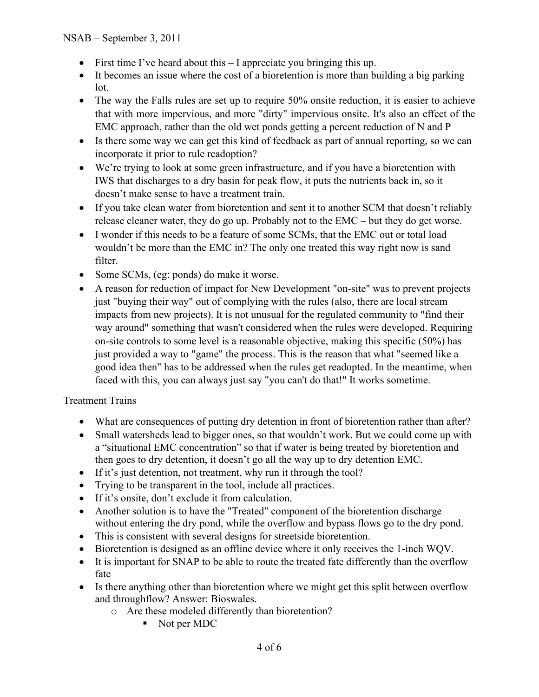- First time I've heard about this I appreciate you bringing this up.
- It becomes an issue where the cost of a bioretention is more than building a big parking lot.
- The way the Falls rules are set up to require 50% onsite reduction, it is easier to achieve that with more impervious, and more "dirty" impervious onsite. It's also an effect of the EMC approach, rather than the old wet ponds getting a percent reduction of N and P
- Is there some way we can get this kind of feedback as part of annual reporting, so we can incorporate it prior to rule readoption?
- We're trying to look at some green infrastructure, and if you have a bioretention with IWS that discharges to a dry basin for peak flow, it puts the nutrients back in, so it doesn't make sense to have a treatment train.
- If you take clean water from bioretention and sent it to another SCM that doesn't reliably release cleaner water, they do go up. Probably not to the EMC – but they do get worse.
- I wonder if this needs to be a feature of some SCMs, that the EMC out or total load wouldn't be more than the EMC in? The only one treated this way right now is sand filter.
- Some SCMs, (eg: ponds) do make it worse.
- A reason for reduction of impact for New Development "on-site" was to prevent projects just "buying their way" out of complying with the rules (also, there are local stream impacts from new projects). It is not unusual for the regulated community to "find their way around" something that wasn't considered when the rules were developed. Requiring on-site controls to some level is a reasonable objective, making this specific (50%) has just provided a way to "game" the process. This is the reason that what "seemed like a good idea then" has to be addressed when the rules get readopted. In the meantime, when faced with this, you can always just say "you can't do that!" It works sometime.

### Treatment Trains

- What are consequences of putting dry detention in front of bioretention rather than after?
- Small watersheds lead to bigger ones, so that wouldn't work. But we could come up with a "situational EMC concentration" so that if water is being treated by bioretention and then goes to dry detention, it doesn't go all the way up to dry detention EMC.
- If it's just detention, not treatment, why run it through the tool?
- Trying to be transparent in the tool, include all practices.
- If it's onsite, don't exclude it from calculation.
- Another solution is to have the "Treated" component of the bioretention discharge without entering the dry pond, while the overflow and bypass flows go to the dry pond.
- This is consistent with several designs for streetside bioretention.
- Bioretention is designed as an offline device where it only receives the 1-inch WQV.
- It is important for SNAP to be able to route the treated fate differently than the overflow fate
- Is there anything other than bioretention where we might get this split between overflow and throughflow? Answer: Bioswales.
	- o Are these modeled differently than bioretention?
		- Not per MDC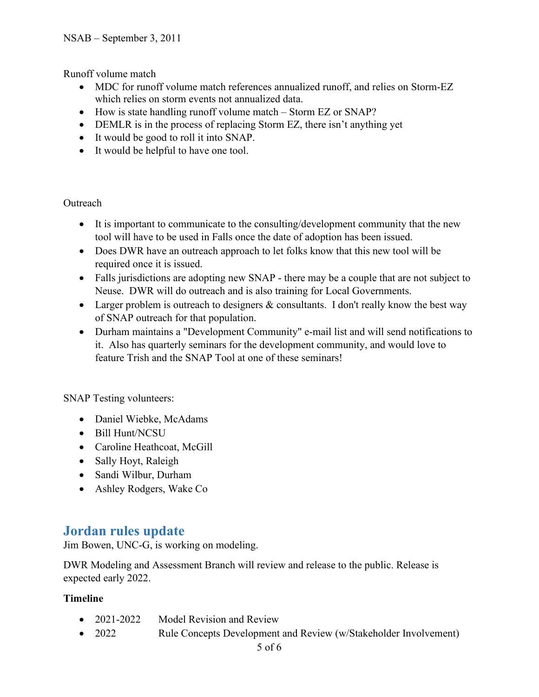Runoff volume match

- MDC for runoff volume match references annualized runoff, and relies on Storm-EZ which relies on storm events not annualized data.
- How is state handling runoff volume match Storm EZ or SNAP?
- DEMLR is in the process of replacing Storm EZ, there isn't anything yet
- It would be good to roll it into SNAP.
- It would be helpful to have one tool.

#### **Outreach**

- It is important to communicate to the consulting/development community that the new tool will have to be used in Falls once the date of adoption has been issued.
- Does DWR have an outreach approach to let folks know that this new tool will be required once it is issued.
- Falls jurisdictions are adopting new SNAP there may be a couple that are not subject to Neuse. DWR will do outreach and is also training for Local Governments.
- Larger problem is outreach to designers  $\&$  consultants. I don't really know the best way of SNAP outreach for that population.
- Durham maintains a "Development Community" e-mail list and will send notifications to it. Also has quarterly seminars for the development community, and would love to feature Trish and the SNAP Tool at one of these seminars!

SNAP Testing volunteers:

- Daniel Wiebke, McAdams
- Bill Hunt/NCSU
- Caroline Heathcoat, McGill
- Sally Hoyt, Raleigh
- Sandi Wilbur, Durham
- Ashley Rodgers, Wake Co

## **Jordan rules update**

Jim Bowen, UNC-G, is working on modeling.

DWR Modeling and Assessment Branch will review and release to the public. Release is expected early 2022.

### **Timeline**

- 2021-2022 Model Revision and Review
- 2022 Rule Concepts Development and Review (w/Stakeholder Involvement)